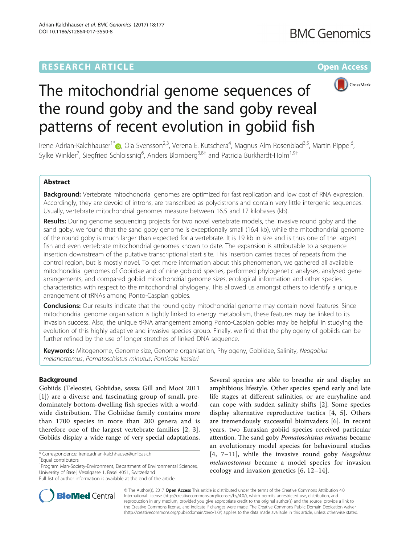

# The mitochondrial genome sequences of the round goby and the sand goby reveal patterns of recent evolution in gobiid fish

Irene Adrian-Kalchhauser<sup>1[\\*](http://orcid.org/0000-0002-7563-2577)</sup>�, Ola Svensson<sup>2,3</sup>, Verena E. Kutschera<sup>4</sup>, Magnus Alm Rosenblad<sup>3,5</sup>, Martin Pippel<sup>6</sup> , Sylke Winkler<sup>7</sup>, Siegfried Schloissnig<sup>6</sup>, Anders Blomberg<sup>3,8†</sup> and Patricia Burkhardt-Holm<sup>1,9†</sup>

# Abstract

Background: Vertebrate mitochondrial genomes are optimized for fast replication and low cost of RNA expression. Accordingly, they are devoid of introns, are transcribed as polycistrons and contain very little intergenic sequences. Usually, vertebrate mitochondrial genomes measure between 16.5 and 17 kilobases (kb).

Results: During genome sequencing projects for two novel vertebrate models, the invasive round goby and the sand goby, we found that the sand goby genome is exceptionally small (16.4 kb), while the mitochondrial genome of the round goby is much larger than expected for a vertebrate. It is 19 kb in size and is thus one of the largest fish and even vertebrate mitochondrial genomes known to date. The expansion is attributable to a sequence insertion downstream of the putative transcriptional start site. This insertion carries traces of repeats from the control region, but is mostly novel. To get more information about this phenomenon, we gathered all available mitochondrial genomes of Gobiidae and of nine gobioid species, performed phylogenetic analyses, analysed gene arrangements, and compared gobiid mitochondrial genome sizes, ecological information and other species characteristics with respect to the mitochondrial phylogeny. This allowed us amongst others to identify a unique arrangement of tRNAs among Ponto-Caspian gobies.

**Conclusions:** Our results indicate that the round goby mitochondrial genome may contain novel features. Since mitochondrial genome organisation is tightly linked to energy metabolism, these features may be linked to its invasion success. Also, the unique tRNA arrangement among Ponto-Caspian gobies may be helpful in studying the evolution of this highly adaptive and invasive species group. Finally, we find that the phylogeny of gobiids can be further refined by the use of longer stretches of linked DNA sequence.

Keywords: Mitogenome, Genome size, Genome organisation, Phylogeny, Gobiidae, Salinity, Neogobius melanostomus, Pomatoschistus minutus, Ponticola kessleri

# Background

Gobiids (Teleostei, Gobiidae, sensu Gill and Mooi 2011 [[1\]](#page-12-0)) are a diverse and fascinating group of small, predominately bottom-dwelling fish species with a worldwide distribution. The Gobiidae family contains more than 1700 species in more than 200 genera and is therefore one of the largest vertebrate families [\[2](#page-12-0), [3](#page-12-0)]. Gobiids display a wide range of very special adaptations. Several species are able to breathe air and display an amphibious lifestyle. Other species spend early and late life stages at different salinities, or are euryhaline and can cope with sudden salinity shifts [\[2](#page-12-0)]. Some species display alternative reproductive tactics [\[4](#page-12-0), [5](#page-12-0)]. Others are tremendously successful bioinvaders [\[6](#page-12-0)]. In recent years, two Eurasian gobiid species received particular attention. The sand goby Pomatoschistus minutus became an evolutionary model species for behavioural studies  $[4, 7-11]$  $[4, 7-11]$  $[4, 7-11]$  $[4, 7-11]$  $[4, 7-11]$  $[4, 7-11]$  $[4, 7-11]$ , while the invasive round goby Neogobius melanostomus became a model species for invasion ecology and invasion genetics [[6](#page-12-0), [12](#page-12-0)–[14\]](#page-12-0).



© The Author(s). 2017 **Open Access** This article is distributed under the terms of the Creative Commons Attribution 4.0 International License [\(http://creativecommons.org/licenses/by/4.0/](http://creativecommons.org/licenses/by/4.0/)), which permits unrestricted use, distribution, and reproduction in any medium, provided you give appropriate credit to the original author(s) and the source, provide a link to the Creative Commons license, and indicate if changes were made. The Creative Commons Public Domain Dedication waiver [\(http://creativecommons.org/publicdomain/zero/1.0/](http://creativecommons.org/publicdomain/zero/1.0/)) applies to the data made available in this article, unless otherwise stated.

<sup>\*</sup> Correspondence: [irene.adrian-kalchhauser@unibas.ch](mailto:irene.adrian-kalchhauser@unibas.ch) †

Equal contributors

<sup>&</sup>lt;sup>1</sup> Program Man-Society-Environment, Department of Environmental Sciences, University of Basel, Vesalgasse 1, Basel 4051, Switzerland

Full list of author information is available at the end of the article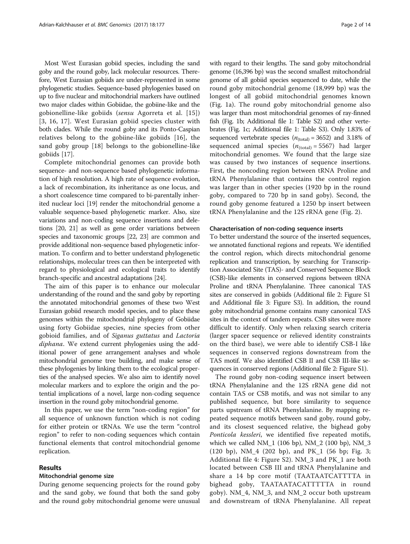Most West Eurasian gobiid species, including the sand goby and the round goby, lack molecular resources. Therefore, West Eurasian gobiids are under-represented in some phylogenetic studies. Sequence-based phylogenies based on up to five nuclear and mitochondrial markers have outlined two major clades within Gobiidae, the gobiine-like and the gobionelline-like gobiids (sensu Agorreta et al. [[15](#page-12-0)]) [[3](#page-12-0), [16, 17](#page-12-0)]. West Eurasian gobiid species cluster with both clades. While the round goby and its Ponto-Caspian relatives belong to the gobiine-like gobiids [\[16](#page-12-0)], the sand goby group [[18\]](#page-12-0) belongs to the gobionelline-like gobiids [[17\]](#page-12-0).

Complete mitochondrial genomes can provide both sequence- and non-sequence based phylogenetic information of high resolution. A high rate of sequence evolution, a lack of recombination, its inheritance as one locus, and a short coalescence time compared to bi-parentally inherited nuclear loci [\[19\]](#page-12-0) render the mitochondrial genome a valuable sequence-based phylogenetic marker. Also, size variations and non-coding sequence insertions and deletions [\[20, 21](#page-12-0)] as well as gene order variations between species and taxonomic groups [[22](#page-12-0), [23\]](#page-12-0) are common and provide additional non-sequence based phylogenetic information. To confirm and to better understand phylogenetic relationships, molecular trees can then be interpreted with regard to physiological and ecological traits to identify branch-specific and ancestral adaptations [\[24\]](#page-12-0).

The aim of this paper is to enhance our molecular understanding of the round and the sand goby by reporting the annotated mitochondrial genomes of these two West Eurasian gobiid research model species, and to place these genomes within the mitochondrial phylogeny of Gobiidae using forty Gobiidae species, nine species from other gobioid families, and of Siganus guttatus and Lactoria diphana. We extend current phylogenies using the additional power of gene arrangement analyses and whole mitochondrial genome tree building, and make sense of these phylogenies by linking them to the ecological properties of the analysed species. We also aim to identify novel molecular markers and to explore the origin and the potential implications of a novel, large non-coding sequence insertion in the round goby mitochondrial genome.

In this paper, we use the term "non-coding region" for all sequence of unknown function which is not coding for either protein or tRNAs. We use the term "control region" to refer to non-coding sequences which contain functional elements that control mitochondrial genome replication.

## Results

#### Mitochondrial genome size

During genome sequencing projects for the round goby and the sand goby, we found that both the sand goby and the round goby mitochondrial genome were unusual with regard to their lengths. The sand goby mitochondrial genome (16,396 bp) was the second smallest mitochondrial genome of all gobiid species sequenced to date, while the round goby mitochondrial genome (18,999 bp) was the longest of all gobiid mitochondrial genomes known (Fig. [1a\)](#page-2-0). The round goby mitochondrial genome also was larger than most mitochondrial genomes of ray-finned fish (Fig. [1b;](#page-2-0) Additional file [1:](#page-11-0) Table S2) and other vertebrates (Fig. [1c](#page-2-0); Additional file [1](#page-11-0): Table S3). Only 1.83% of sequenced vertebrate species  $(n_{\text{(total)}} = 3652)$  and 3.18% of sequenced animal species  $(n_{\text{(total)}} = 5567)$  had larger mitochondrial genomes. We found that the large size was caused by two instances of sequence insertions. First, the noncoding region between tRNA Proline and tRNA Phenylalanine that contains the control region was larger than in other species (1920 bp in the round goby, compared to 720 bp in sand goby). Second, the round goby genome featured a 1250 bp insert between tRNA Phenylalanine and the 12S rRNA gene (Fig. [2\)](#page-3-0).

#### Characterisation of non-coding sequence inserts

To better understand the source of the inserted sequences, we annotated functional regions and repeats. We identified the control region, which directs mitochondrial genome replication and transcription, by searching for Transcription Associated Site (TAS)- and Conserved Sequence Block (CSB)-like elements in conserved regions between tRNA Proline and tRNA Phenylalanine. Three canonical TAS sites are conserved in gobiids (Additional file [2:](#page-11-0) Figure S1 and Additional file [3:](#page-11-0) Figure S3). In addition, the round goby mitochondrial genome contains many canonical TAS sites in the context of tandem repeats. CSB sites were more difficult to identify. Only when relaxing search criteria (larger spacer sequence or relieved identity constraints on the third base), we were able to identify CSB-I like sequences in conserved regions downstream from the TAS motif. We also identified CSB II and CSB III-like sequences in conserved regions (Additional file [2](#page-11-0): Figure S1).

The round goby non-coding sequence insert between tRNA Phenylalanine and the 12S rRNA gene did not contain TAS or CSB motifs, and was not similar to any published sequence, but bore similarity to sequence parts upstream of tRNA Phenylalanine. By mapping repeated sequence motifs between sand goby, round goby, and its closest sequenced relative, the bighead goby Ponticola kessleri, we identified five repeated motifs, which we called NM\_1 (106 bp), NM\_2 (100 bp), NM\_3 (120 bp), NM\_4 (202 bp), and PK\_1 (56 bp; Fig. [3](#page-3-0); Additional file [4](#page-11-0): Figure S2). NM\_3 and PK\_1 are both located between CSB III and tRNA Phenylalanine and share a 14 bp core motif (TAATAATCATTTTA in bighead goby, TAATAATACATTTTTA in round goby). NM\_4, NM\_3, and NM\_2 occur both upstream and downstream of tRNA Phenylalanine. All repeat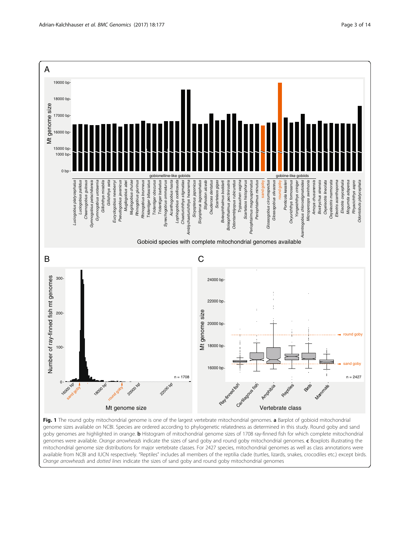<span id="page-2-0"></span>

Fig. 1 The round goby mitochondrial genome is one of the largest vertebrate mitochondrial genomes. a Barplot of gobioid mitochondrial genome sizes available on NCBI. Species are ordered according to phylogenetic relatedness as determined in this study. Round goby and sand goby genomes are highlighted in orange. **b** Histogram of mitochondrial genome sizes of 1708 ray-finned fish for which complete mitochondrial genomes were available. Orange arrowheads indicate the sizes of sand goby and round goby mitochondrial genomes. c Boxplots illustrating the mitochondrial genome size distributions for major vertebrate classes. For 2427 species, mitochondrial genomes as well as class annotations were available from NCBI and IUCN respectively. "Reptiles" includes all members of the reptilia clade (turtles, lizards, snakes, crocodiles etc.) except birds. Orange arrowheads and dotted lines indicate the sizes of sand goby and round goby mitochondrial genomes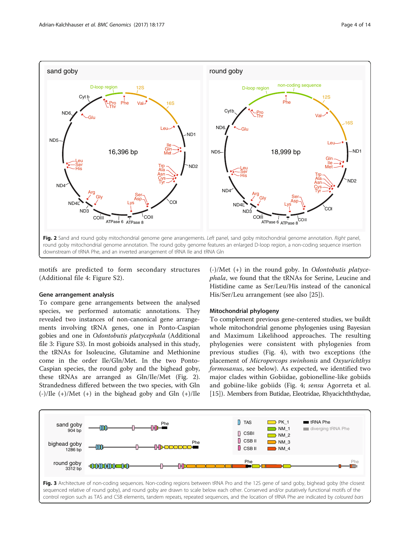<span id="page-3-0"></span>

motifs are predicted to form secondary structures (Additional file [4](#page-11-0): Figure S2).

#### Gene arrangement analysis

To compare gene arrangements between the analysed species, we performed automatic annotations. They revealed two instances of non-canonical gene arrangements involving tRNA genes, one in Ponto-Caspian gobies and one in Odontobutis platycephala (Additional file [3:](#page-11-0) Figure S3). In most gobioids analysed in this study, the tRNAs for Isoleucine, Glutamine and Methionine come in the order Ile/Gln/Met. In the two Ponto-Caspian species, the round goby and the bighead goby, these tRNAs are arranged as Gln/Ile/Met (Fig. 2). Strandedness differed between the two species, with Gln (-)/Ile (+)/Met (+) in the bighead goby and Gln (+)/Ile

(-)/Met (+) in the round goby. In Odontobutis platycephala, we found that the tRNAs for Serine, Leucine and Histidine came as Ser/Leu/His instead of the canonical His/Ser/Leu arrangement (see also [\[25](#page-12-0)]).

#### Mitochondrial phylogeny

To complement previous gene-centered studies, we buildt whole mitochondrial genome phylogenies using Bayesian and Maximum Likelihood approaches. The resulting phylogenies were consistent with phylogenies from previous studies (Fig. [4](#page-5-0)), with two exceptions (the placement of Micropercops swinhonis and Oxyurichthys formosanus, see below). As expected, we identified two major clades within Gobiidae, gobionelline-like gobiids and gobiine-like gobiids (Fig. [4](#page-5-0); sensu Agorreta et al. [[15](#page-12-0)]). Members from Butidae, Eleotridae, Rhyacichththydae,

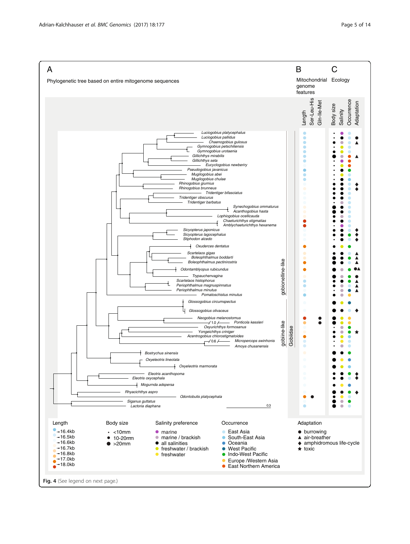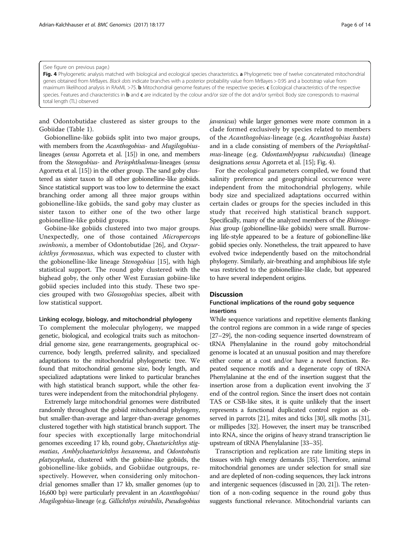#### <span id="page-5-0"></span>(See figure on previous page.)

Fig. 4 Phylogenetic analysis matched with biological and ecological species characteristics. a Phylogenetic tree of twelve concatenated mitochondrial genes obtained from MrBayes. Black dots indicate branches with a posterior probability value from MrBayes > 0.95 and a bootstrap value from maximum likelihood analysis in RAxML >75. **b** Mitochondrial genome features of the respective species. c Ecological characteristics of the respective species. Features and characteristics in **b** and c are indicated by the colour and/or size of the dot and/or symbol. Body size corresponds to maximal total length (TL) observed

and Odontobutidae clustered as sister groups to the Gobiidae (Table [1\)](#page-6-0).

Gobionelline-like gobiids split into two major groups, with members from the Acanthogobius- and Mugilogobiuslineages (sensu Agorreta et al. [\[15\]](#page-12-0)) in one, and members from the Stenogobius- and Periophthalmus-lineages (sensu Agorreta et al. [[15](#page-12-0)]) in the other group. The sand goby clustered as sister taxon to all other gobionelline-like gobiids. Since statistical support was too low to determine the exact branching order among all three major groups within gobionelline-like gobiids, the sand goby may cluster as sister taxon to either one of the two other large gobionelline-like gobiid groups.

Gobiine-like gobiids clustered into two major groups. Unexpectedly, one of those contained Micropercops swinhonis, a member of Odontobutidae [\[26](#page-12-0)], and Oxyurichthys formosanus, which was expected to cluster with the gobionelline-like lineage Stenogobius [[15\]](#page-12-0), with high statistical support. The round goby clustered with the bighead goby, the only other West Eurasian gobiine-like gobiid species included into this study. These two species grouped with two Glossogobius species, albeit with low statistical support.

#### Linking ecology, biology, and mitochondrial phylogeny

To complement the molecular phylogeny, we mapped genetic, biological, and ecological traits such as mitochondrial genome size, gene rearrangements, geographical occurrence, body length, preferred salinity, and specialized adaptations to the mitochondrial phylogenetic tree. We found that mitochondrial genome size, body length, and specialized adaptations were linked to particular branches with high statistical branch support, while the other features were independent from the mitochondrial phylogeny.

Extremely large mitochondrial genomes were distributed randomly throughout the gobiid mitochondrial phylogeny, but smaller-than-average and larger-than-average genomes clustered together with high statistical branch support. The four species with exceptionally large mitochondrial genomes exceeding 17 kb, round goby, Chaeturichthys stigmatias, Amblychaeturichthys hexanema, and Odontobutis platycephala, clustered with the gobiine-like gobiids, the gobionelline-like gobiids, and Gobiidae outgroups, respectively. However, when considering only mitochondrial genomes smaller than 17 kb, smaller genomes (up to 16,600 bp) were particularly prevalent in an Acanthogobius/ Mugilogobius-lineage (e.g. Gillichthys mirabilis, Pseudogobius javanicus) while larger genomes were more common in a clade formed exclusively by species related to members of the Acanthogobius-lineage (e.g. Acanthogobius hasta) and in a clade consisting of members of the Periophthalmus-lineage (e.g. Odontamblyopus rubicundus) (lineage designations sensu Agorreta et al. [\[15](#page-12-0)]; Fig. 4).

For the ecological parameters compiled, we found that salinity preference and geographical occurrence were independent from the mitochondrial phylogeny, while body size and specialized adaptations occurred within certain clades or groups for the species included in this study that received high statistical branch support. Specifically, many of the analyzed members of the Rhinogobius group (gobionelline-like gobiids) were small. Burrowing life-style appeared to be a feature of gobionelline-like gobiid species only. Nonetheless, the trait appeared to have evolved twice independently based on the mitochondrial phylogeny. Similarly, air-breathing and amphibious life style was restricted to the gobionelline-like clade, but appeared to have several independent origins.

# **Discussion**

# Functional implications of the round goby sequence insertions

While sequence variations and repetitive elements flanking the control regions are common in a wide range of species [[27](#page-12-0)–[29](#page-13-0)], the non-coding sequence inserted downstream of tRNA Phenylalanine in the round goby mitochondrial genome is located at an unusual position and may therefore either come at a cost and/or have a novel function. Repeated sequence motifs and a degenerate copy of tRNA Phenylalanine at the end of the insertion suggest that the insertion arose from a duplication event involving the 3' end of the control region. Since the insert does not contain TAS or CSB-like sites, it is quite unlikely that the insert represents a functional duplicated control region as observed in parrots [\[21\]](#page-12-0), mites and ticks [\[30](#page-13-0)], silk moths [\[31](#page-13-0)], or millipedes [[32](#page-13-0)]. However, the insert may be transcribed into RNA, since the origins of heavy strand transcription lie upstream of tRNA Phenylalanine [[33](#page-13-0)–[35](#page-13-0)].

Transcription and replication are rate limiting steps in tissues with high energy demands [\[35](#page-13-0)]. Therefore, animal mitochondrial genomes are under selection for small size and are depleted of non-coding sequences, they lack introns and intergenic sequences (discussed in [\[20](#page-12-0), [21\]](#page-12-0)). The retention of a non-coding sequence in the round goby thus suggests functional relevance. Mitochondrial variants can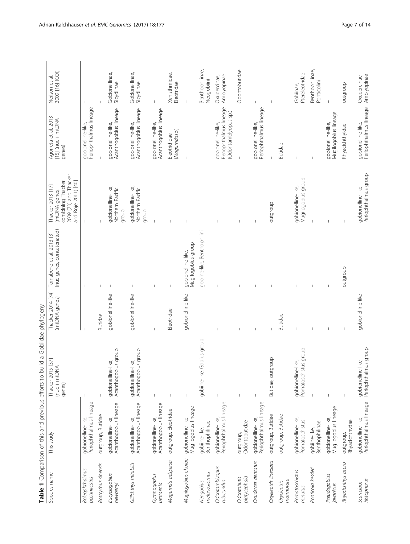<span id="page-6-0"></span>

|                                  |                                              | Table 1 Comparison of this and previous efforts to build a Gobiidae phylogeny |                                    |                                                        |                                                                                                         |                                                                      |                                  |
|----------------------------------|----------------------------------------------|-------------------------------------------------------------------------------|------------------------------------|--------------------------------------------------------|---------------------------------------------------------------------------------------------------------|----------------------------------------------------------------------|----------------------------------|
| Species name                     | This study                                   | $[37]$<br>(nuc + mtDNA<br>Thacker 2015<br>genes)                              | Thacker 2014 [74]<br>(mtDNA genes) | (nuc genes, concatenated)<br>Tornabene et al. 2013 [3] | 2009 [73] and Thacker<br>and Roje 2011) [40]<br>combining Thacker<br>Thacker 2013 [17]<br>(mtDNA genes, | Agorreta et al. 2013<br>[15] (nuc + mtDNA<br>genes)                  | 2009 [16] (COI)<br>Neilson et al |
| Boleophthalmus<br>pectinirostris | Periophthalmus lineage<br>gobionelline-like, |                                                                               |                                    |                                                        |                                                                                                         | Periophthalmus lineage<br>gobionelline-like,                         |                                  |
| Bostrychus sinensis              | outgroup, Butidae                            |                                                                               | Butidae                            |                                                        |                                                                                                         |                                                                      |                                  |
| Eucyclogobius<br>newberryi       | Acanthogobius lineage<br>gobionelline-like,  | Acanthogobius group<br>gobionelline-like,                                     | gobionelline-like                  |                                                        | apbionelline-like,<br>Northern Pacific<br>qroup                                                         | Acanthogobius lineage<br>gobionelline-like,                          | Gobionellinae,<br>Sicydiinae     |
| Gillichthys mirabilis            | Acanthogobius lineage<br>gobionelline-like,  | Acanthogobius group<br>gobionelline-like,                                     | gobionelline-like                  |                                                        | gobionelline-like,<br>Northern Pacific<br>group                                                         | Acanthogobius lineage<br>gobionelline-like,                          | Gobionellinae,<br>Sicydiinae     |
| Gymnogobius<br>urotaenia         | Acanthogobius lineage<br>gobionelline-like,  |                                                                               |                                    |                                                        |                                                                                                         | Acanthogobius lineage<br>gobionelline-like,                          |                                  |
| Mogumda adspersa                 | outgroup, Eleotridae                         |                                                                               | Eleotridae                         |                                                        |                                                                                                         | (Mogumdasp.)<br>Eleotrididae                                         | Xenisthmidae,<br>Eleotridae      |
| Mugilogobius chulae              | Mugilogobius lineage<br>gobionelline-like,   |                                                                               | gobionelline-like                  | Mugilogobius group<br>gobionelline-like,               |                                                                                                         |                                                                      | $\overline{\phantom{a}}$         |
| melanostomus<br>Neogobius        | gobiine-like,<br>Benthophilinae              | gobiine-like, Gobius group                                                    |                                    | gobiine-like, Benthophilini                            |                                                                                                         |                                                                      | Benthophilinae,<br>Neogobiini    |
| Odontamblyopus<br>rubicundus     | gobionelline-like,<br>Periophthalmus lineage |                                                                               |                                    |                                                        |                                                                                                         | Periophthalmus lineage<br>(Odontamblyopus sp.)<br>gobionelline-like, | Amblyopinae<br>Oxudercinae,      |
| platycephala<br>Odontobutis      | Odontobutidae<br>outgroup,                   | $\mathbf{I}$                                                                  |                                    |                                                        |                                                                                                         |                                                                      | Odontobutidae                    |
| Oxuderces dentatus               | Periophthalmus lineage<br>gobionelline-like, | J                                                                             |                                    |                                                        |                                                                                                         | Periophthalmus lineage<br>gobionelline-like,                         |                                  |
| Oxyeleotris lineolata            | outgroup, Butidae                            | Butidae, outgroup                                                             |                                    |                                                        | dnoibano                                                                                                |                                                                      |                                  |
| marmorata<br>Oxyeleotris         | outgroup, Butidae                            |                                                                               | Butidae                            |                                                        |                                                                                                         | Butidae                                                              |                                  |
| Pomatoschistus<br>minutus        | gobionelline-like,<br>Pomatoschistus         | Pomatoschistus group<br>gobionelline-like,                                    |                                    |                                                        | Mugilogobius group<br>gobionelline-like,                                                                |                                                                      | Ptereleotridae<br>Gobiinae,      |
| Ponticola kessleri               | Benthophilinae<br>gobiine-like,              |                                                                               |                                    |                                                        |                                                                                                         |                                                                      | Benthophilinae,<br>Ponticolini   |
| Pseudogobius<br>javanicus        | Mugilogobius lineage<br>gobionelline-like,   |                                                                               |                                    |                                                        |                                                                                                         | Mugilogobius lineage<br>gobionelline-like,                           |                                  |
| Rhyacichthys aspro               | Rhyacichthydae<br>outgroup,                  |                                                                               |                                    | outgroup                                               |                                                                                                         | Rhyacichthyidae                                                      | outgroup                         |
| histophorus<br>Scartelaos        | Periophthalmus lineage<br>gobionelline-like, | gobionelline-like,<br>Periophthalmus group                                    | gobionelline-like                  | $\overline{\phantom{a}}$                               | gobionelline-like,<br>Periophthalmus group                                                              | Periophthalmus lineage<br>gobionelline-like,                         | Amblyopinae<br>Oxudercinae,      |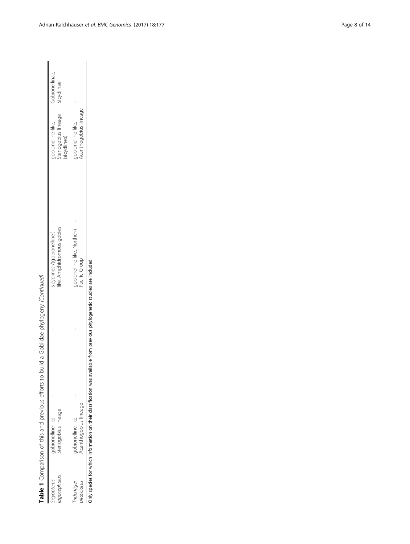| lagocephalus<br>vcyopterus | Stenogobius lineage<br>gobionelline-like,   | like, Amphidromous gobies<br>sicydiines-/(gobionelline-) | Stenogobius lineage<br>gobionelline-like,<br>(sicydiines) | Gobionellinae,<br>Sicydiinae |
|----------------------------|---------------------------------------------|----------------------------------------------------------|-----------------------------------------------------------|------------------------------|
| ridentiger<br>ifasciatus   | Acanthogobius lineage<br>gobionelline-like, | gobionelline-like, Northern<br>Pacific Group             | Acanthogobius lineage<br>gobionelline-like,               |                              |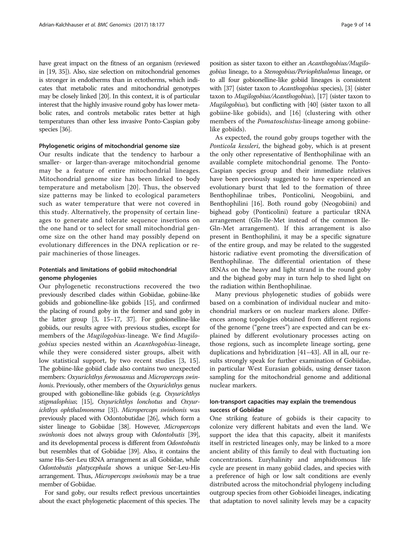have great impact on the fitness of an organism (reviewed in [[19](#page-12-0), [35\]](#page-13-0)). Also, size selection on mitochondrial genomes is stronger in endotherms than in ectotherms, which indicates that metabolic rates and mitochondrial genotypes may be closely linked [\[20\]](#page-12-0). In this context, it is of particular interest that the highly invasive round goby has lower metabolic rates, and controls metabolic rates better at high temperatures than other less invasive Ponto-Caspian goby species [[36](#page-13-0)].

#### Phylogenetic origins of mitochondrial genome size

Our results indicate that the tendency to harbour a smaller- or larger-than-average mitochondrial genome may be a feature of entire mitochondrial lineages. Mitochondrial genome size has been linked to body temperature and metabolism [[20](#page-12-0)]. Thus, the observed size patterns may be linked to ecological parameters such as water temperature that were not covered in this study. Alternatively, the propensity of certain lineages to generate and tolerate sequence insertions on the one hand or to select for small mitochondrial genome size on the other hand may possibly depend on evolutionary differences in the DNA replication or repair machineries of those lineages.

# Potentials and limitations of gobiid mitochondrial genome phylogenies

Our phylogenetic reconstructions recovered the two previously described clades within Gobiidae, gobiine-like gobiids and gobionelline-like gobiids [\[15\]](#page-12-0), and confirmed the placing of round goby in the former and sand goby in the latter group [\[3](#page-12-0), [15](#page-12-0)–[17,](#page-12-0) [37](#page-13-0)]. For gobionelline-like gobiids, our results agree with previous studies, except for members of the Mugilogobius-lineage. We find Mugilogobius species nested within an Acanthogobius-lineage, while they were considered sister groups, albeit with low statistical support, by two recent studies [[3, 15](#page-12-0)]. The gobiine-like gobiid clade also contains two unexpected members: Oxyurichthys formosanus and Micropercops swinhonis. Previously, other members of the Oxyurichthys genus grouped with gobionelline-like gobiids (e.g. Oxyurichthys stigmalophius; [\[15\]](#page-12-0), Oxyurichthys lonchotus and Oxyurichthys ophthalmonema [[3](#page-12-0)]). Micropercops swinhonis was previously placed with Odontobutidae [\[26\]](#page-12-0), which form a sister lineage to Gobiidae [\[38\]](#page-13-0). However, Micropercops swinhonis does not always group with Odontobutis [\[39](#page-13-0)], and its developmental process is different from Odontobutis but resembles that of Gobiidae [[39](#page-13-0)]. Also, it contains the same His-Ser-Leu tRNA arrangement as all Gobiidae, while Odontobutis platycephala shows a unique Ser-Leu-His arrangement. Thus, Micropercops swinhonis may be a true member of Gobiidae.

For sand goby, our results reflect previous uncertainties about the exact phylogenetic placement of this species. The position as sister taxon to either an Acanthogobius/Mugilogobius lineage, to a Stenogobius/Periophthalmus lineage, or to all four gobionelline-like gobiid lineages is consistent with [\[37](#page-13-0)] (sister taxon to *Acanthogobius* species), [\[3](#page-12-0)] (sister taxon to Mugilogobius/Acanthogobius), [[17](#page-12-0)] (sister taxon to Mugilogobius), but conflicting with [[40](#page-13-0)] (sister taxon to all gobiine-like gobiids), and [\[16](#page-12-0)] (clustering with other members of the *Pomatoschistus*-lineage among gobiinelike gobiids).

As expected, the round goby groups together with the Ponticola kessleri, the bighead goby, which is at present the only other representative of Benthophilinae with an available complete mitochondrial genome. The Ponto-Caspian species group and their immediate relatives have been previously suggested to have experienced an evolutionary burst that led to the formation of three Benthophilinae tribes, Ponticolini, Neogobiini, and Benthophilini [\[16](#page-12-0)]. Both round goby (Neogobiini) and bighead goby (Ponticolini) feature a particular tRNA arrangement (Gln-Ile-Met instead of the common Ile-Gln-Met arrangement). If this arrangement is also present in Benthophilini, it may be a specific signature of the entire group, and may be related to the suggested historic radiative event promoting the diversification of Benthophilinae. The differential orientation of these tRNAs on the heavy and light strand in the round goby and the bighead goby may in turn help to shed light on the radiation within Benthophilinae.

Many previous phylogenetic studies of gobiids were based on a combination of individual nuclear and mitochondrial markers or on nuclear markers alone. Differences among topologies obtained from different regions of the genome ("gene trees") are expected and can be explained by different evolutionary processes acting on those regions, such as incomplete lineage sorting, gene duplications and hybridization [\[41](#page-13-0)–[43\]](#page-13-0). All in all, our results strongly speak for further examination of Gobiidae, in particular West Eurasian gobiids, using denser taxon sampling for the mitochondrial genome and additional nuclear markers.

# Ion-transport capacities may explain the tremendous success of Gobiidae

One striking feature of gobiids is their capacity to colonize very different habitats and even the land. We support the idea that this capacity, albeit it manifests itself in restricted lineages only, may be linked to a more ancient ability of this family to deal with fluctuating ion concentrations. Euryhalinity and amphidromous life cycle are present in many gobiid clades, and species with a preference of high or low salt conditions are evenly distributed across the mitochondrial phylogeny including outgroup species from other Gobioidei lineages, indicating that adaptation to novel salinity levels may be a capacity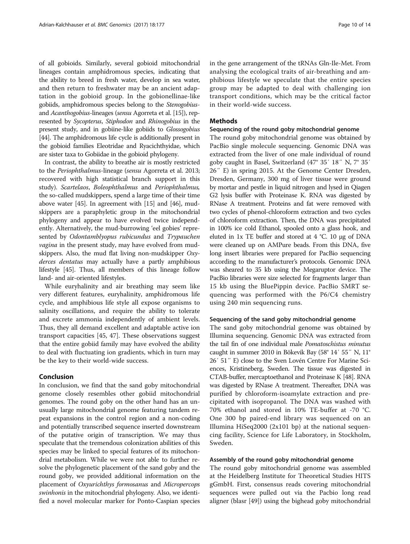of all gobioids. Similarly, several gobioid mitochondrial lineages contain amphidromous species, indicating that the ability to breed in fresh water, develop in sea water, and then return to freshwater may be an ancient adaptation in the gobioid group. In the gobionellinae-like gobiids, amphidromous species belong to the Stenogobiusand Acanthogobius-lineages (sensu Agorreta et al. [\[15\]](#page-12-0)), represented by Sycopterus, Stiphodon and Rhinogobius in the present study, and in gobiine-like gobiids to Glossogobius [[44](#page-13-0)]. The amphidromous life cycle is additionally present in the gobioid families Eleotridae and Ryacichthyidae, which are sister taxa to Gobiidae in the gobioid phylogeny.

In contrast, the ability to breathe air is mostly restricted to the Periophthalmus-lineage (sensu Agorreta et al. 2013; recovered with high statistical branch support in this study). Scartelaos, Boleophthalmus and Periophthalmus, the so-called mudskippers, spend a large time of their time above water [\[45\]](#page-13-0). In agreement with [\[15\]](#page-12-0) and [\[46\]](#page-13-0), mudskippers are a paraphyletic group in the mitochondrial phylogeny and appear to have evolved twice independently. Alternatively, the mud-burrowing 'eel gobies' represented by Odontamblyopus rubicundus and Trypauchen vagina in the present study, may have evolved from mudskippers. Also, the mud flat living non-mudskipper Oxyderces dentatus may actually have a partly amphibious lifestyle [[45\]](#page-13-0). Thus, all members of this lineage follow land- and air-oriented lifestyles.

While euryhalinity and air breathing may seem like very different features, euryhalinity, amphidromous life cycle, and amphibious life style all expose organisms to salinity oscillations, and require the ability to tolerate and excrete ammonia independently of ambient levels. Thus, they all demand excellent and adaptable active ion transport capacities [[45, 47](#page-13-0)]. These observations suggest that the entire gobiid family may have evolved the ability to deal with fluctuating ion gradients, which in turn may be the key to their world-wide success.

#### Conclusion

In conclusion, we find that the sand goby mitochondrial genome closely resembles other gobiid mitochondrial genomes. The round goby on the other hand has an unusually large mitochondrial genome featuring tandem repeat expansions in the control region and a non-coding and potentially transcribed sequence inserted downstream of the putative origin of transcription. We may thus speculate that the tremendous colonization abilities of this species may be linked to special features of its mitochondrial metabolism. While we were not able to further resolve the phylogenetic placement of the sand goby and the round goby, we provided additional information on the placement of Oxyurichthys formosanus and Micropercops swinhonis in the mitochondrial phylogeny. Also, we identified a novel molecular marker for Ponto-Caspian species in the gene arrangement of the tRNAs Gln-Ile-Met. From analysing the ecological traits of air-breathing and amphibious lifestyle we speculate that the entire species group may be adapted to deal with challenging ion transport conditions, which may be the critical factor in their world-wide success.

#### Methods

#### Sequencing of the round goby mitochondrial genome

The round goby mitochondrial genome was obtained by PacBio single molecule sequencing. Genomic DNA was extracted from the liver of one male individual of round goby caught in Basel, Switzerland (47° 35′ 18″ N, 7° 35′ 26″ E) in spring 2015. At the Genome Center Dresden, Dresden, Germany, 300 mg of liver tissue were ground by mortar and pestle in liquid nitrogen and lysed in Qiagen G2 lysis buffer with Proteinase K. RNA was digested by RNase A treatment. Proteins and fat were removed with two cycles of phenol-chloroform extraction and two cycles of chloroform extraction. Then, the DNA was precipitated in 100% ice cold Ethanol, spooled onto a glass hook, and eluted in 1x TE buffer and stored at 4 °C. 10 μg of DNA were cleaned up on AMPure beads. From this DNA, five long insert libraries were prepared for PacBio sequencing according to the manufacturer's protocols. Genomic DNA was sheared to 35 kb using the Megaruptor device. The PacBio libraries were size selected for fragments larger than 15 kb using the BluePippin device. PacBio SMRT sequencing was performed with the P6/C4 chemistry using 240 min sequencing runs.

#### Sequencing of the sand goby mitochondrial genome

The sand goby mitochondrial genome was obtained by Illumina sequencing. Genomic DNA was extracted from the tail fin of one individual male Pomatoschistus minutus caught in summer 2010 in Bökevik Bay (58° 14′ 55″ N, 11° 26′ 51″ E) close to the Sven Lovén Centre For Marine Sciences, Kristineberg, Sweden. The tissue was digested in CTAB-buffer, mercaptoethanol and Proteinase K [\[48\]](#page-13-0). RNA was digested by RNase A treatment. Thereafter, DNA was purified by chloroform-isoamylate extraction and precipitated with isopropanol. The DNA was washed with 70% ethanol and stored in 10% TE-buffer at -70 °C. One 300 bp paired-end library was sequenced on an Illumina HiSeq2000 (2x101 bp) at the national sequencing facility, Science for Life Laboratory, in Stockholm, Sweden.

#### Assembly of the round goby mitochondrial genome

The round goby mitochondrial genome was assembled at the Heidelberg Institute for Theoretical Studies HITS gGmbH. First, consensus reads covering mitochondrial sequences were pulled out via the Pacbio long read aligner (blasr [\[49](#page-13-0)]) using the bighead goby mitochondrial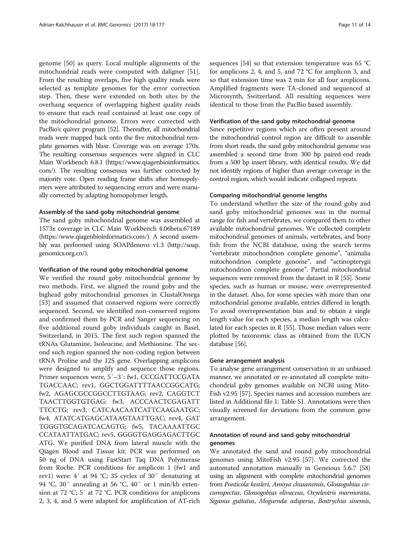genome [[50\]](#page-13-0) as query. Local multiple alignments of the mitochondrial reads were computed with daligner [\[51](#page-13-0)]. From the resulting overlaps, five high quality reads were selected as template genomes for the error correction step. Then, these were extended on both sites by the overhang sequence of overlapping highest quality reads to ensure that each read contained at least one copy of the mitochondrial genome. Errors were corrected with PacBio's quiver program [\[52\]](#page-13-0). Thereafter, all mitochondrial reads were mapped back onto the five mitochondrial template genomes with blasr. Coverage was on average 170x. The resulting consensus sequences were aligned in CLC Main Workbench 6.8.1 [\(https://www.qiagenbioinformatics.](https://www.qiagenbioinformatics.com/) [com/](https://www.qiagenbioinformatics.com/)). The resulting consensus was further corrected by majority vote. Open reading frame shifts after homopolymers were attributed to sequencing errors and were manually corrected by adapting homopolymer length.

#### Assembly of the sand goby mitochondrial genome

The sand goby mitochondrial genome was assembled at 1573x coverage in CLC Main Workbench 4.06beta.67189 ([https://www.qiagenbioinformatics.com/\)](https://www.qiagenbioinformatics.com/). A second assembly was performed using SOAPdenovo v1.3 [\(http://soap.](http://soap.genomics.org.cn/) [genomics.org.cn/](http://soap.genomics.org.cn/)).

#### Verification of the round goby mitochondrial genome

We verified the round goby mitochondrial genome by two methods. First, we aligned the round goby and the bighead goby mitochondrial genomes in ClustalOmega [[53\]](#page-13-0) and assumed that conserved regions were correctly sequenced. Second, we identified non-conserved regions and confirmed them by PCR and Sanger sequencing on five additional round goby individuals caught in Basel, Switzerland, in 2015. The first such region spanned the tRNAs Glutamine, Isoleucine, and Methionine. The second such region spanned the non-coding region between tRNA Proline and the 12S gene. Overlapping amplicons were designed to amplify and sequence those regions. Primer sequences were, 5′–3′: fw1, CCCGATTCCGATA TGACCAAC; rev1, GGCTGGATTTTAACCGGCATG; fw2, AGAGCGCCGGCCTTGTAAG; rev2, CAGGTCT TAACTTGGTGTGAG; fw3, ACCCAACTCGAGATT TTCCTG; rev3, CATCAACAATCATTCAAGAATGC; fw4, ATATCATGAGCATAAGTAATTGAC; rev4, GAT TGGGTGCAGATCACAGTG; fw5, TACAAAATTGC CCATAATTATGAC; rev5, GGGGTGAGGAGACTTGC ATG. We purified DNA from lateral muscle with the Qiagen Blood and Tissue kit. PCR was performed on 50 ng of DNA using FastStart Taq DNA Polymerase from Roche. PCR conditions for amplicon 1 (fw1 and rev1) were: 4′ at 94 °C; 35 cycles of 30″ denaturing at 94 °C, 30″ annealing at 56 °C, 40″ or 1 min/kb extension at 72 °C; 5′ at 72 °C. PCR conditions for amplicons 2, 3, 4, and 5 were adapted for amplification of AT-rich sequences [[54](#page-13-0)] so that extension temperature was 65 °C for amplicons 2, 4, and 5, and 72 °C for amplicon 3, and so that extension time was 2 min for all four amplicons. Amplified fragments were TA-cloned and sequenced at Microsynth, Switzerland. All resulting sequences were identical to those from the PacBio based assembly.

#### Verification of the sand goby mitochondrial genome

Since repetitive regions which are often present around the mitochondrial control region are difficult to assemble from short reads, the sand goby mitochondrial genome was assembled a second time from 300 bp paired-end reads from a 500 bp insert library, with identical results. We did not identify regions of higher than average coverage in the control region, which would indicate collapsed repeats.

#### Comparing mitochondrial genome lengths

To understand whether the size of the round goby and sand goby mitochondrial genomes was in the normal range for fish and vertebrates, we compared them to other available mitochondrial genomes. We collected complete mitochondrial genomes of animals, vertebrates, and bony fish from the NCBI database, using the search terms "vertebrate mitochondrion complete genome", "animalia mitochondrion complete genome", and "actinopterygii mitochondrion complete genome". Partial mitochondrial sequences were removed from the dataset in R [[55](#page-13-0)]. Some species, such as human or mouse, were overrepresented in the dataset. Also, for some species with more than one mitochondrial genome available, entries differed in length. To avoid overrepresentation bias and to obtain a single length value for each species, a median length was calculated for each species in R [\[55\]](#page-13-0). Those median values were plotted by taxonomic class as obtained from the IUCN database [[56](#page-13-0)].

#### Gene arrangement analysis

To analyse gene arrangement conservation in an unbiased manner, we annotated or re-annotated all complete mitochondrial goby genomes available on NCBI using Mito-Fish v2.95 [\[57\]](#page-13-0). Species names and accession numbers are listed in Additional file [1](#page-11-0): Table S1. Annotations were then visually screened for deviations from the common gene arrangement.

# Annotation of round and sand goby mitochondrial genomes

We annotated the sand and round goby mitochondrial genomes using MitoFish v2.95 [\[57\]](#page-13-0). We corrected the automated annotation manually in Geneious 5.6.7 [[58](#page-13-0)] using an alignment with complete mitochondrial genomes from Ponticola kessleri, Amoya chusanensis, Glossogobius circumspectus, Glossogobius olivaceus, Oxyeleotris marmorata, Siganus guttatus, Mogurnda adspersa, Bostrychus sinensis,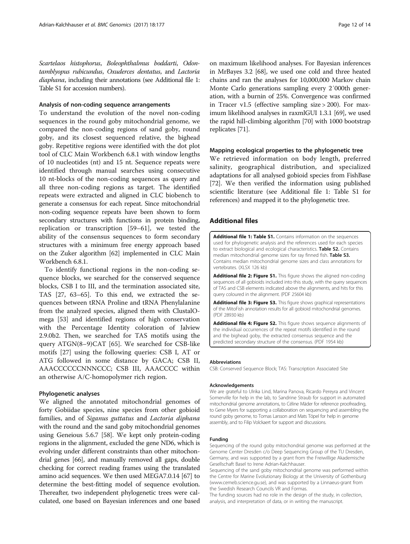<span id="page-11-0"></span>Scartelaos histophorus, Boleophthalmus boddarti, Odontamblyopus rubicundus, Oxuderces dentatus, and Lactoria diaphana, including their annotations (see Additional file 1: Table S1 for accession numbers).

#### Analysis of non-coding sequence arrangements

To understand the evolution of the novel non-coding sequences in the round goby mitochondrial genome, we compared the non-coding regions of sand goby, round goby, and its closest sequenced relative, the bighead goby. Repetitive regions were identified with the dot plot tool of CLC Main Workbench 6.8.1 with window lengths of 10 nucleotides (nt) and 15 nt. Sequence repeats were identified through manual searches using consecutive 10 nt-blocks of the non-coding sequences as query and all three non-coding regions as target. The identified repeats were extracted and aligned in CLC biobench to generate a consensus for each repeat. Since mitochondrial non-coding sequence repeats have been shown to form secondary structures with functions in protein binding, replication or transcription [[59](#page-13-0)–[61\]](#page-13-0), we tested the ability of the consensus sequences to form secondary structures with a minimum free energy approach based on the Zuker algorithm [[62](#page-13-0)] implemented in CLC Main Workbench 6.8.1.

To identify functional regions in the non-coding sequence blocks, we searched for the conserved sequence blocks, CSB I to III, and the termination associated site, TAS [[27,](#page-12-0) [63](#page-13-0)–[65](#page-13-0)]. To this end, we extracted the sequences between tRNA Proline and tRNA Phenylalanine from the analyzed species, aligned them with ClustalOmega [[53](#page-13-0)] and identified regions of high conservation with the Percentage Identity coloration of Jalview 2.9.0b2. Then, we searched for TAS motifs using the query ATGN(8–9)CAT [\[65](#page-13-0)]. We searched for CSB-like motifs [[27\]](#page-12-0) using the following queries: CSB I, AT or ATG followed in some distance by GACA; CSB II, AAACCCCCCNNNCCC; CSB III, AAACCCC within an otherwise A/C-homopolymer rich region.

### Phylogenetic analyses

We aligned the annotated mitochondrial genomes of forty Gobiidae species, nine species from other gobioid families, and of Siganus guttatus and Lactoria diphana with the round and the sand goby mitochondrial genomes using Geneious 5.6.7 [\[58\]](#page-13-0). We kept only protein-coding regions in the alignment, excluded the gene ND6, which is evolving under different constraints than other mitochondrial genes [\[66\]](#page-13-0), and manually removed all gaps, double checking for correct reading frames using the translated amino acid sequences. We then used MEGA7.0.14 [[67](#page-13-0)] to determine the best-fitting model of sequence evolution. Thereafter, two independent phylogenetic trees were calculated, one based on Bayesian inferences and one based

on maximum likelihood analyses. For Bayesian inferences in MrBayes 3.2 [\[68\]](#page-13-0), we used one cold and three heated chains and ran the analyses for 10,000,000 Markov chain Monte Carlo generations sampling every 2′000th generation, with a burnin of 25%. Convergence was confirmed in Tracer v1.5 (effective sampling size > 200). For maximum likelihood analyses in raxmlGUI 1.3.1 [\[69\]](#page-13-0), we used the rapid hill-climbing algorithm [\[70\]](#page-13-0) with 1000 bootstrap replicates [\[71\]](#page-13-0).

#### Mapping ecological properties to the phylogenetic tree

We retrieved information on body length, preferred salinity, geographical distribution, and specialized adaptations for all analysed gobioid species from FishBase [[72](#page-13-0)]. We then verified the information using published scientific literature (see Additional file 1: Table S1 for references) and mapped it to the phylogenetic tree.

#### Additional files

[Additional file 1: Table S1.](dx.doi.org/10.1186/s12864-017-3550-8) Contains information on the sequences used for phylogenetic analysis and the references used for each species to extract biological and ecological characteristics. Table S2. Contains median mitochondrial genome sizes for ray finned fish. Table S3. Contains median mitochondrial genome sizes and class annotations for vertebrates. (XLSX 126 kb)

[Additional file 2: Figure S1.](dx.doi.org/10.1186/s12864-017-3550-8) This figure shows the aligned non-coding sequences of all gobioids included into this study, with the query sequences of TAS and CSB elements indicated above the alignments, and hits for this query coloured in the alignment. (PDF 25604 kb)

[Additional file 3: Figure S3.](dx.doi.org/10.1186/s12864-017-3550-8) This figure shows graphical representations of the MitoFish annotation results for all gobioid mitochondrial genomes. (PDF 28930 kb)

[Additional file 4: Figure S2.](dx.doi.org/10.1186/s12864-017-3550-8) This figure shows sequence alignments of the individual occurrences of the repeat motifs identified in the round and the bighead goby, the extracted consensus sequence and the predicted secondary structure of the consensus. (PDF 1954 kb)

#### Abbreviations

CSB: Conserved Sequence Block; TAS: Transcription Associated Site

#### Acknowledgements

We are grateful to Ulrika Lind, Marina Panova, Ricardo Pereyra and Vincent Somerville for help in the lab, to Sandrine Straub for support in automated mitochondrial genome annotations, to Céline Mäder for reference proofreading, to Gene Myers for supporting a collaboration on sequencing and assembling the round goby genome, to Tomas Larsson and Mats Töpel for help in genome assembly, and to Filip Volckaert for support and discussions.

#### Funding

Sequencing of the round goby mitochondrial genome was performed at the Genome Center Dresden c/o Deep Sequencing Group of the TU Dresden, Germany, and was supported by a grant from the Freiwillige Akademische Gesellschaft Basel to Irene Adrian-Kalchhauser.

Sequencing of the sand goby mitochondrial genome was performed within the Centre for Marine Evolutionary Biology at the University of Gothenburg ([www.cemeb.science.gu.se\)](http://www.cemeb.science.gu.se), and was supported by a Linnaeus-grant from the Swedish Research Councils VR and Formas.

The funding sources had no role in the design of the study, in collection, analysis, and interpretation of data, or in writing the manuscript.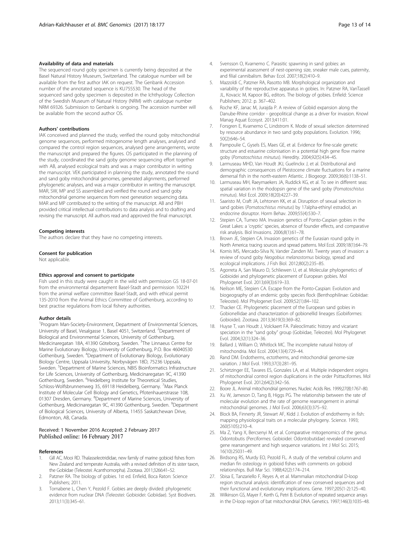#### <span id="page-12-0"></span>Availability of data and materials

The sequenced round goby specimen is currently being deposited at the Basel Natural History Museum, Switzerland. The catalogue number will be available from the first author IAK on request. The Genbank Accession number of the annotated sequence is KU755530. The head of the sequenced sand goby specimen is deposited in the Ichthyology Collection of the Swedish Museum of Natural History (NRM) with catalogue number NRM 69326. Submission to Genbank is ongoing. The accession number will be available from the second author OS.

#### Authors' contributions

IAK conceived and planned the study, verified the round goby mitochondrial genome sequences, performed mitogenome length analyses, analysed and compared the control region sequences, analysed gene arrangements, wrote the manuscript and prepared the figures. OS participated in the planning of the study, coordinated the sand goby genome sequencing effort together with AB, analysed ecological traits and was a major contributor in writing the manuscript. VEK participated in planning the study, annotated the round and sand goby mitochondrial genomes, generated alignments, performed phylogenetic analyses, and was a major contributor in writing the manuscript. MAR, SW, MP and SS assembled and verified the round and sand goby mitochondrial genome sequences from next generation sequencing data. MAR and MP contributed to the writing of the manuscript. AB and PBH provided critical intellectual contributions to data analysis and to drafting and revising the manuscript. All authors read and approved the final manuscript.

#### Competing interests

The authors declare that they have no competing interests.

#### Consent for publication

Not applicable.

#### Ethics approval and consent to participate

Fish used in this study were caught in the wild with permission GS 18-07-01 from the environmental departement Basel-Stadt and permission 1022H from the animal welfare committee Basel-Stadt, and with ethical permit 135-2010 from the Animal Ethics Committee of Gothenburg, according to best practise regulations from local fishery authorities.

#### Author details

<sup>1</sup> Program Man-Society-Environment, Department of Environmental Sciences, University of Basel, Vesalgasse 1, Basel 4051, Switzerland. <sup>2</sup>Department of Biological and Environmental Sciences, University of Gothenburg, Medicinaregatan 18A, 41390 Göteborg, Sweden. <sup>3</sup>The Linnaeus Centre for Marine Evolutionary Biology, University of Gothenburg, P.O. Box 46040530 Gothenburg, Sweden. <sup>4</sup>Department of Evolutionary Biology, Evolutionary Biology Centre, Uppsala University, Norbyvägen 18D, 75236 Uppsala, Sweden. <sup>5</sup>Department of Marine Sciences, NBIS Bioinformatics Infrastructure for Life Sciences, University of Gothenburg, Medicinaregatan 9C, 41390 Gothenburg, Sweden. <sup>6</sup>Heidelberg Institute for Theoretical Studies, Schloss-Wolfsbrunnenweg 35, 69118 Heidelberg, Germany. <sup>7</sup>Max Planck Institute of Molecular Cell Biology and Genetics, Pfotenhauerstrasse 108, 01307 Dresden, Germany. <sup>8</sup>Department of Marine Sciences, University of Gothenburg, Medicinaregatan 9C, 41390 Gothenburg, Sweden. <sup>9</sup>Department of Biological Sciences, University of Alberta, 11455 Saskatchewan Drive, Edmonton, AB, Canada.

#### Received: 1 November 2016 Accepted: 2 February 2017 Published online: 16 February 2017

#### References

- 1. Gill AC, Mooi RD. Thalasseleotrididae, new family of marine gobioid fishes from New Zealand and temperate Australia, with a revised definition of its sister taxon, the Gobiidae (Teleostei: Acanthomorpha). Zootaxa. 2011;3266:41–52.
- 2. Patzner RA. The biology of gobies. 1st ed. Enfield, Boca Raton: Science Publishers; 2011.
- 3. Tornabene L, Chen Y, Pezold F. Gobies are deeply divided: phylogenetic evidence from nuclear DNA (Teleostei: Gobioidei: Gobiidae). Syst Biodivers. 2013;11(3):345–61.
- 4. Svensson O, Kvarnemo C. Parasitic spawning in sand gobies: an experimental assessment of nest-opening size, sneaker male cues, paternity, and filial cannibalism. Behav Ecol. 2007;18(2):410–9.
- 5. Mazzoldi C, Patzner RA, Rasotto MB. Morphological organization and variability of the reproductive apparatus in gobies. In: Patzner RA, VanTassell JL, Kovacic M, Kapoor BG, editors. The biology of gobies. Enfield: Science Publishers; 2012. p. 367–402.
- Roche KF, Janac M, Jurajda P. A review of Gobiid expansion along the Danube-Rhine corridor - geopolitical change as a driver for invasion. Knowl Manag Aquat Ecosyst. 2013;411:01.
- 7. Forsgren E, Kvarnemo C, Lindstrom K. Mode of sexual selection determined by resource abundance in two sand goby populations. Evolution. 1996; 50(2):646–54.
- 8. Pampoulie C, Gysels ES, Maes GE, et al. Evidence for fine-scale genetic structure and estuarine colonisation in a potential high gene flow marine goby (Pomatoschistus minutus). Heredity. 2004;92(5):434–45.
- 9. Larmuseau MHD, Van Houdt JKJ, Guelinckx J, et al. Distributional and demographic consequences of Pleistocene climate fluctuations for a marine demersal fish in the north-eastern Atlantic. J Biogeogr. 2009;36(6):1138–51.
- 10. Larmuseau MH, Raeymaekers JA, Ruddick KG, et al. To see in different seas: spatial variation in the rhodopsin gene of the sand goby (Pomatoschistus minutus). Mol Ecol. 2009;18(20):4227–39.
- 11. Saaristo M, Craft JA, Lehtonen KK, et al. Disruption of sexual selection in sand gobies (Pomatoschistus minutus) by 17alpha-ethinyl estradiol, an endocrine disruptor. Horm Behav. 2009;55(4):530–7.
- 12. Stepien CA, Tumeo MA. Invasion genetics of Ponto-Caspian gobies in the Great Lakes: a 'cryptic' species, absence of founder effects, and comparative risk analysis. Biol Invasions. 2006;8(1):61–78.
- 13. Brown JE, Stepien CA. Invasion genetics of the Eurasian round goby in North America: tracing sources and spread patterns. Mol Ecol. 2009;18(1):64–79.
- 14. Kornis MS, Mercado-Silva N, Vander Zanden MJ. Twenty years of invasion: a review of round goby Neogobius melanostomus biology, spread and ecological implications. J Fish Biol. 2012;80(2):235–85.
- 15. Agorreta A, San Mauro D, Schliewen U, et al. Molecular phylogenetics of Gobioidei and phylogenetic placement of European gobies. Mol Phylogenet Evol. 2013;69(3):619–33.
- 16. Neilson ME, Stepien CA. Escape from the Ponto-Caspian: Evolution and biogeography of an endemic goby species flock (Benthophilinae: Gobiidae: Teleostei). Mol Phylogenet Evol. 2009;52(1):84–102.
- 17. Thacker CE. Phylogenetic placement of the European sand gobies in Gobionellidae and characterization of gobionellid lineages (Gobiiformes: Gobioidei). Zootaxa. 2013;3619(3):369–82.
- 18. Huyse T, van Houdt J, Volckaert FA. Paleoclimatic history and vicariant speciation in the "sand goby" group (Gobiidae, Teleostei). Mol Phylogenet Evol. 2004;32(1):324–36.
- 19. Ballard J, William O, Whitlock MC. The incomplete natural history of mitochondria. Mol Ecol. 2004;13(4):729–44.
- 20. Rand DM. Endotherms, ectotherms, and mitochondrial genome-size variation. J Mol Evol. 1993;37(3):281–95.
- 21. Schirtzinger EE, Tavares ES, Gonzales LA, et al. Multiple independent origins of mitochondrial control region duplications in the order Psittaciformes. Mol Phylogenet Evol. 2012;64(2):342–56.
- 22. Boore JL. Animal mitochondrial genomes. Nucleic Acids Res. 1999;27(8):1767–80.
- 23. Xu W, Jameson D, Tang B, Higgs PG. The relationship between the rate of molecular evolution and the rate of genome rearrangement in animal mitochondrial genomes. J Mol Evol. 2006;63(3):375–92.
- 24. Block BA, Finnerty JR, Stewart AF, Kidd J. Evolution of endothermy in fish: mapping physiological traits on a molecular phylogeny. Science. 1993; 260(5105):210–4.
- 25. Ma Z, Yang X, Bercsenyi M, et al. Comparative mitogenomics of the genus Odontobutis (Perciformes: Gobioidei: Odontobutidae) revealed conserved gene rearrangement and high sequence variations. Int J Mol Sci. 2015; 16(10):25031–49.
- 26. Birdsong RS, Murdy EO, Pezold FL. A study of the vertebral column and median fin osteology in gobioid fishes with comments on gobioid relationships. Bull Mar Sci. 1988;42(2):174–214.
- 27. Sbisa E, Tanzariello F, Reyes A, et al. Mammalian mitochondrial D-loop region structural analysis: identification of new conserved sequences and their functional and evolutionary implications. Gene. 1997;205(1-2):125–40.
- 28. Wilkinson GS, Mayer F, Kerth G, Petri B. Evolution of repeated sequence arrays in the D-loop region of bat mitochondrial DNA. Genetics. 1997;146(3):1035–48.